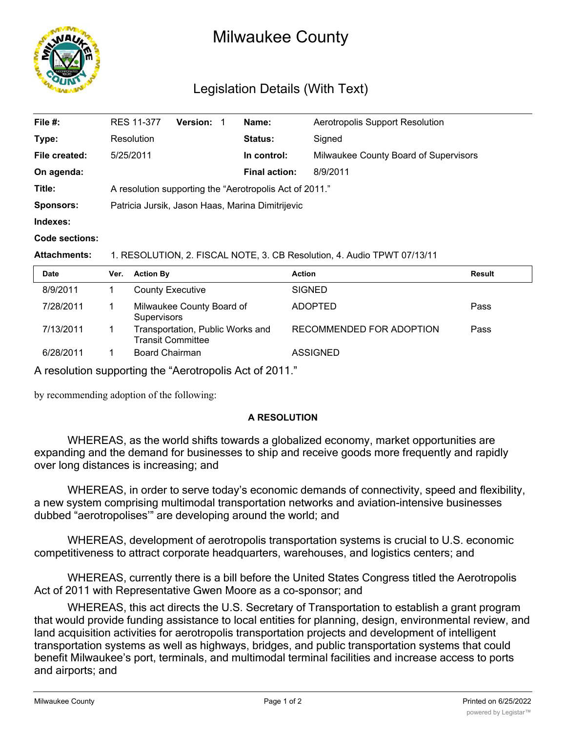

## Milwaukee County

## Legislation Details (With Text)

| File #:          | <b>RES 11-377</b>                                              | <b>Version: 1</b> |  | Name:                | Aerotropolis Support Resolution       |  |
|------------------|----------------------------------------------------------------|-------------------|--|----------------------|---------------------------------------|--|
| Type:            | Resolution                                                     |                   |  | Status:              | Signed                                |  |
| File created:    | 5/25/2011                                                      |                   |  | In control:          | Milwaukee County Board of Supervisors |  |
| On agenda:       |                                                                |                   |  | <b>Final action:</b> | 8/9/2011                              |  |
| Title:           | A resolution supporting the "Aerotropolis Act of 2011."        |                   |  |                      |                                       |  |
| <b>Sponsors:</b> | Patricia Jursik, Jason Haas, Marina Dimitrijevic               |                   |  |                      |                                       |  |
| Indexes:         |                                                                |                   |  |                      |                                       |  |
| Code sections:   |                                                                |                   |  |                      |                                       |  |
| Attachments:     | RESOLUTION 2 FISCAL NOTE 3 CR Resolution 4 Audio TPWT 07/13/11 |                   |  |                      |                                       |  |

**Attachments:** 1. RESOLUTION, 2. FISCAL NOTE, 3. CB Resolution, 4. Audio TPWT 07/13/11

| <b>Date</b> | Ver. | <b>Action By</b>                                             | <b>Action</b>            | Result |
|-------------|------|--------------------------------------------------------------|--------------------------|--------|
| 8/9/2011    |      | <b>County Executive</b>                                      | <b>SIGNED</b>            |        |
| 7/28/2011   |      | Milwaukee County Board of<br><b>Supervisors</b>              | <b>ADOPTED</b>           | Pass   |
| 7/13/2011   |      | Transportation, Public Works and<br><b>Transit Committee</b> | RECOMMENDED FOR ADOPTION | Pass   |
| 6/28/2011   |      | <b>Board Chairman</b>                                        | <b>ASSIGNED</b>          |        |

A resolution supporting the "Aerotropolis Act of 2011."

by recommending adoption of the following:

## **A RESOLUTION**

WHEREAS, as the world shifts towards a globalized economy, market opportunities are expanding and the demand for businesses to ship and receive goods more frequently and rapidly over long distances is increasing; and

WHEREAS, in order to serve today's economic demands of connectivity, speed and flexibility, a new system comprising multimodal transportation networks and aviation-intensive businesses dubbed "aerotropolises'" are developing around the world; and

WHEREAS, development of aerotropolis transportation systems is crucial to U.S. economic competitiveness to attract corporate headquarters, warehouses, and logistics centers; and

WHEREAS, currently there is a bill before the United States Congress titled the Aerotropolis Act of 2011 with Representative Gwen Moore as a co-sponsor; and

WHEREAS, this act directs the U.S. Secretary of Transportation to establish a grant program that would provide funding assistance to local entities for planning, design, environmental review, and land acquisition activities for aerotropolis transportation projects and development of intelligent transportation systems as well as highways, bridges, and public transportation systems that could benefit Milwaukee's port, terminals, and multimodal terminal facilities and increase access to ports and airports; and